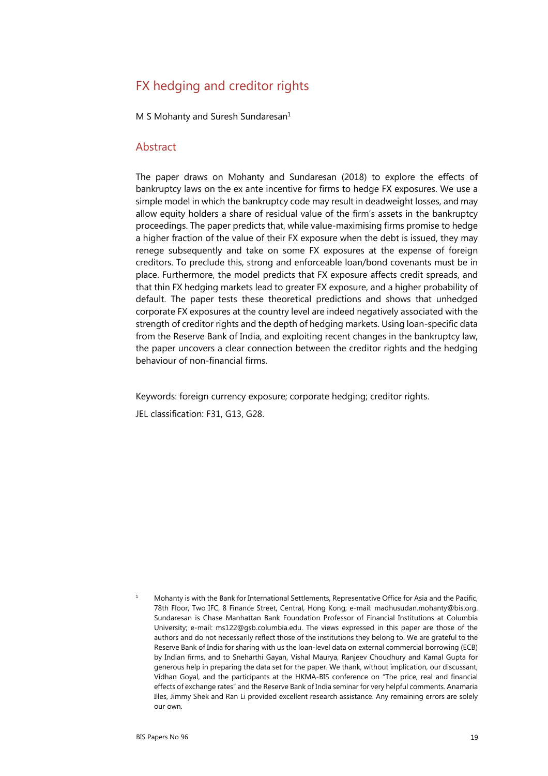# FX hedging and creditor rights

M S Mohanty and Suresh Sundaresan<sup>[1](#page-0-0)</sup>

#### Abstract

The paper draws on Mohanty and Sundaresan (2018) to explore the effects of bankruptcy laws on the ex ante incentive for firms to hedge FX exposures. We use a simple model in which the bankruptcy code may result in deadweight losses, and may allow equity holders a share of residual value of the firm's assets in the bankruptcy proceedings. The paper predicts that, while value-maximising firms promise to hedge a higher fraction of the value of their FX exposure when the debt is issued, they may renege subsequently and take on some FX exposures at the expense of foreign creditors. To preclude this, strong and enforceable loan/bond covenants must be in place. Furthermore, the model predicts that FX exposure affects credit spreads, and that thin FX hedging markets lead to greater FX exposure, and a higher probability of default. The paper tests these theoretical predictions and shows that unhedged corporate FX exposures at the country level are indeed negatively associated with the strength of creditor rights and the depth of hedging markets. Using loan-specific data from the Reserve Bank of India, and exploiting recent changes in the bankruptcy law, the paper uncovers a clear connection between the creditor rights and the hedging behaviour of non-financial firms.

Keywords: foreign currency exposure; corporate hedging; creditor rights.

JEL classification: F31, G13, G28.

<span id="page-0-0"></span>1 Mohanty is with the Bank for International Settlements, Representative Office for Asia and the Pacific, 78th Floor, Two IFC, 8 Finance Street, Central, Hong Kong; e-mail: [madhusudan.mohanty@bis.org.](mailto:james.yetman@bis.org)  Sundaresan is Chase Manhattan Bank Foundation Professor of Financial Institutions at Columbia University; e-mail: [ms122@gsb.columbia.edu.](mailto:ms122@gsb.columbia.edu) The views expressed in this paper are those of the authors and do not necessarily reflect those of the institutions they belong to. We are grateful to the Reserve Bank of India for sharing with us the loan-level data on external commercial borrowing (ECB) by Indian firms, and to Sneharthi Gayan, Vishal Maurya, Ranjeev Choudhury and Kamal Gupta for generous help in preparing the data set for the paper. We thank, without implication, our discussant, Vidhan Goyal, and the participants at the HKMA-BIS conference on "The price, real and financial effects of exchange rates" and the Reserve Bank of India seminar for very helpful comments. Anamaria Illes, Jimmy Shek and Ran Li provided excellent research assistance. Any remaining errors are solely our own.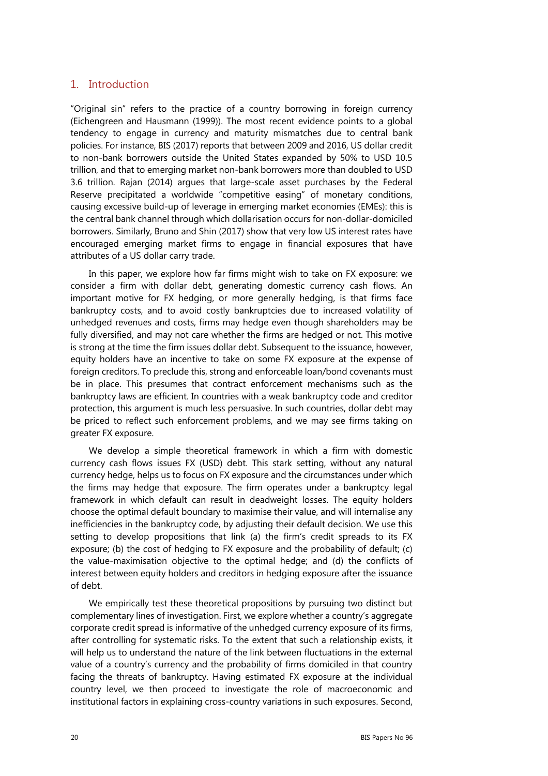#### 1. Introduction

"Original sin" refers to the practice of a country borrowing in foreign currency (Eichengreen and Hausmann (1999)). The most recent evidence points to a global tendency to engage in currency and maturity mismatches due to central bank policies. For instance, BIS (2017) reports that between 2009 and 2016, US dollar credit to non-bank borrowers outside the United States expanded by 50% to USD 10.5 trillion, and that to emerging market non-bank borrowers more than doubled to USD 3.6 trillion. Rajan (2014) argues that large-scale asset purchases by the Federal Reserve precipitated a worldwide "competitive easing" of monetary conditions, causing excessive build-up of leverage in emerging market economies (EMEs): this is the central bank channel through which dollarisation occurs for non-dollar-domiciled borrowers. Similarly, Bruno and Shin (2017) show that very low US interest rates have encouraged emerging market firms to engage in financial exposures that have attributes of a US dollar carry trade.

In this paper, we explore how far firms might wish to take on FX exposure: we consider a firm with dollar debt, generating domestic currency cash flows. An important motive for FX hedging, or more generally hedging, is that firms face bankruptcy costs, and to avoid costly bankruptcies due to increased volatility of unhedged revenues and costs, firms may hedge even though shareholders may be fully diversified, and may not care whether the firms are hedged or not. This motive is strong at the time the firm issues dollar debt. Subsequent to the issuance, however, equity holders have an incentive to take on some FX exposure at the expense of foreign creditors. To preclude this, strong and enforceable loan/bond covenants must be in place. This presumes that contract enforcement mechanisms such as the bankruptcy laws are efficient. In countries with a weak bankruptcy code and creditor protection, this argument is much less persuasive. In such countries, dollar debt may be priced to reflect such enforcement problems, and we may see firms taking on greater FX exposure.

We develop a simple theoretical framework in which a firm with domestic currency cash flows issues FX (USD) debt. This stark setting, without any natural currency hedge, helps us to focus on FX exposure and the circumstances under which the firms may hedge that exposure. The firm operates under a bankruptcy legal framework in which default can result in deadweight losses. The equity holders choose the optimal default boundary to maximise their value, and will internalise any inefficiencies in the bankruptcy code, by adjusting their default decision. We use this setting to develop propositions that link (a) the firm's credit spreads to its FX exposure; (b) the cost of hedging to FX exposure and the probability of default; (c) the value-maximisation objective to the optimal hedge; and (d) the conflicts of interest between equity holders and creditors in hedging exposure after the issuance of debt.

We empirically test these theoretical propositions by pursuing two distinct but complementary lines of investigation. First, we explore whether a country's aggregate corporate credit spread is informative of the unhedged currency exposure of its firms, after controlling for systematic risks. To the extent that such a relationship exists, it will help us to understand the nature of the link between fluctuations in the external value of a country's currency and the probability of firms domiciled in that country facing the threats of bankruptcy. Having estimated FX exposure at the individual country level, we then proceed to investigate the role of macroeconomic and institutional factors in explaining cross-country variations in such exposures. Second,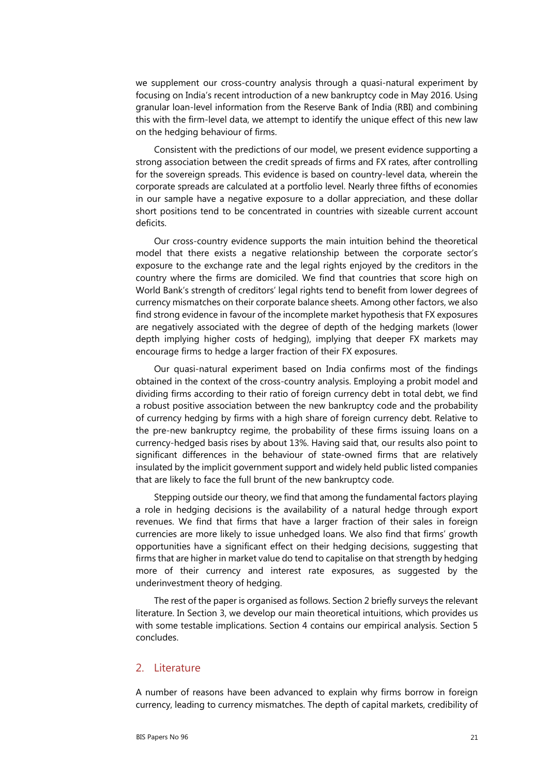we supplement our cross-country analysis through a quasi-natural experiment by focusing on India's recent introduction of a new bankruptcy code in May 2016. Using granular loan-level information from the Reserve Bank of India (RBI) and combining this with the firm-level data, we attempt to identify the unique effect of this new law on the hedging behaviour of firms.

Consistent with the predictions of our model, we present evidence supporting a strong association between the credit spreads of firms and FX rates, after controlling for the sovereign spreads. This evidence is based on country-level data, wherein the corporate spreads are calculated at a portfolio level. Nearly three fifths of economies in our sample have a negative exposure to a dollar appreciation, and these dollar short positions tend to be concentrated in countries with sizeable current account deficits.

Our cross-country evidence supports the main intuition behind the theoretical model that there exists a negative relationship between the corporate sector's exposure to the exchange rate and the legal rights enjoyed by the creditors in the country where the firms are domiciled. We find that countries that score high on World Bank's strength of creditors' legal rights tend to benefit from lower degrees of currency mismatches on their corporate balance sheets. Among other factors, we also find strong evidence in favour of the incomplete market hypothesis that FX exposures are negatively associated with the degree of depth of the hedging markets (lower depth implying higher costs of hedging), implying that deeper FX markets may encourage firms to hedge a larger fraction of their FX exposures.

Our quasi-natural experiment based on India confirms most of the findings obtained in the context of the cross-country analysis. Employing a probit model and dividing firms according to their ratio of foreign currency debt in total debt, we find a robust positive association between the new bankruptcy code and the probability of currency hedging by firms with a high share of foreign currency debt. Relative to the pre-new bankruptcy regime, the probability of these firms issuing loans on a currency-hedged basis rises by about 13%. Having said that, our results also point to significant differences in the behaviour of state-owned firms that are relatively insulated by the implicit government support and widely held public listed companies that are likely to face the full brunt of the new bankruptcy code.

Stepping outside our theory, we find that among the fundamental factors playing a role in hedging decisions is the availability of a natural hedge through export revenues. We find that firms that have a larger fraction of their sales in foreign currencies are more likely to issue unhedged loans. We also find that firms' growth opportunities have a significant effect on their hedging decisions, suggesting that firms that are higher in market value do tend to capitalise on that strength by hedging more of their currency and interest rate exposures, as suggested by the underinvestment theory of hedging.

The rest of the paper is organised as follows. Section 2 briefly surveys the relevant literature. In Section 3, we develop our main theoretical intuitions, which provides us with some testable implications. Section 4 contains our empirical analysis. Section 5 concludes.

#### 2. Literature

A number of reasons have been advanced to explain why firms borrow in foreign currency, leading to currency mismatches. The depth of capital markets, credibility of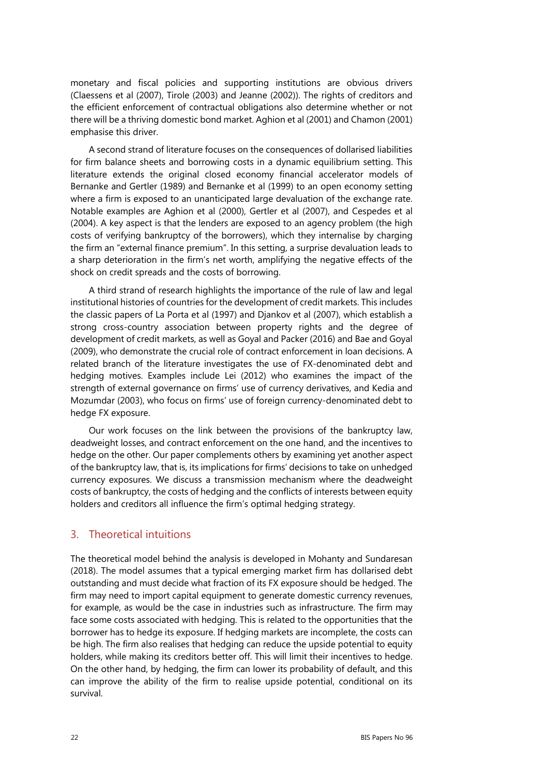monetary and fiscal policies and supporting institutions are obvious drivers (Claessens et al (2007), Tirole (2003) and Jeanne (2002)). The rights of creditors and the efficient enforcement of contractual obligations also determine whether or not there will be a thriving domestic bond market. Aghion et al (2001) and Chamon (2001) emphasise this driver.

A second strand of literature focuses on the consequences of dollarised liabilities for firm balance sheets and borrowing costs in a dynamic equilibrium setting. This literature extends the original closed economy financial accelerator models of Bernanke and Gertler (1989) and Bernanke et al (1999) to an open economy setting where a firm is exposed to an unanticipated large devaluation of the exchange rate. Notable examples are Aghion et al (2000), Gertler et al (2007), and Cespedes et al (2004). A key aspect is that the lenders are exposed to an agency problem (the high costs of verifying bankruptcy of the borrowers), which they internalise by charging the firm an "external finance premium". In this setting, a surprise devaluation leads to a sharp deterioration in the firm's net worth, amplifying the negative effects of the shock on credit spreads and the costs of borrowing.

A third strand of research highlights the importance of the rule of law and legal institutional histories of countries for the development of credit markets. This includes the classic papers of La Porta et al (1997) and Djankov et al (2007), which establish a strong cross-country association between property rights and the degree of development of credit markets, as well as Goyal and Packer (2016) and Bae and Goyal (2009), who demonstrate the crucial role of contract enforcement in loan decisions. A related branch of the literature investigates the use of FX-denominated debt and hedging motives. Examples include Lei (2012) who examines the impact of the strength of external governance on firms' use of currency derivatives, and Kedia and Mozumdar (2003), who focus on firms' use of foreign currency-denominated debt to hedge FX exposure.

Our work focuses on the link between the provisions of the bankruptcy law, deadweight losses, and contract enforcement on the one hand, and the incentives to hedge on the other. Our paper complements others by examining yet another aspect of the bankruptcy law, that is, its implications for firms' decisions to take on unhedged currency exposures. We discuss a transmission mechanism where the deadweight costs of bankruptcy, the costs of hedging and the conflicts of interests between equity holders and creditors all influence the firm's optimal hedging strategy.

# 3. Theoretical intuitions

The theoretical model behind the analysis is developed in Mohanty and Sundaresan (2018). The model assumes that a typical emerging market firm has dollarised debt outstanding and must decide what fraction of its FX exposure should be hedged. The firm may need to import capital equipment to generate domestic currency revenues, for example, as would be the case in industries such as infrastructure. The firm may face some costs associated with hedging. This is related to the opportunities that the borrower has to hedge its exposure. If hedging markets are incomplete, the costs can be high. The firm also realises that hedging can reduce the upside potential to equity holders, while making its creditors better off. This will limit their incentives to hedge. On the other hand, by hedging, the firm can lower its probability of default, and this can improve the ability of the firm to realise upside potential, conditional on its survival.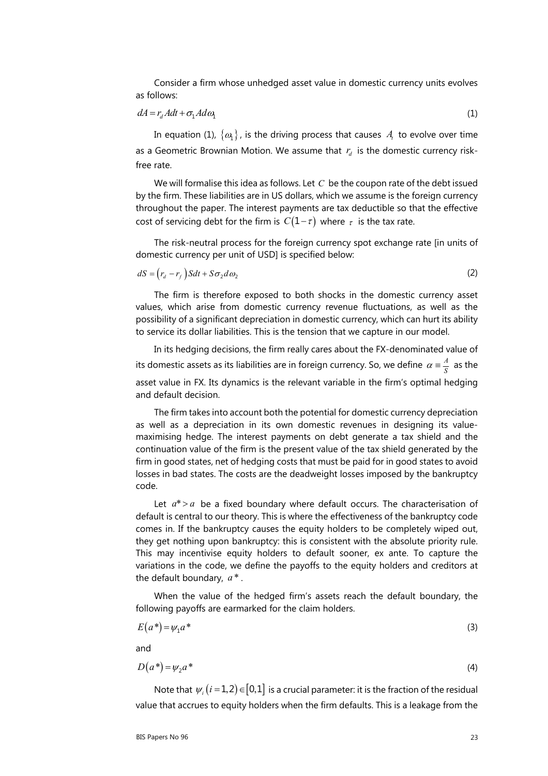Consider a firm whose unhedged asset value in domestic currency units evolves as follows:

$$
dA = r_d A dt + \sigma_1 A d\omega_1 \tag{1}
$$

In equation (1),  $\{\omega_i\}$ , is the driving process that causes  $A_i$  to evolve over time as a Geometric Brownian Motion. We assume that  $r_d$  is the domestic currency riskfree rate.

We will formalise this idea as follows. Let *C* be the coupon rate of the debt issued by the firm. These liabilities are in US dollars, which we assume is the foreign currency throughout the paper. The interest payments are tax deductible so that the effective cost of servicing debt for the firm is  $C(1-\tau)$  where  $\tau$  is the tax rate.

The risk-neutral process for the foreign currency spot exchange rate [in units of domestic currency per unit of USD] is specified below:

$$
dS = (r_d - r_f) Sdt + S\sigma_2 d\omega_2
$$
 (2)

The firm is therefore exposed to both shocks in the domestic currency asset values, which arise from domestic currency revenue fluctuations, as well as the possibility of a significant depreciation in domestic currency, which can hurt its ability to service its dollar liabilities. This is the tension that we capture in our model.

In its hedging decisions, the firm really cares about the FX-denominated value of its domestic assets as its liabilities are in foreign currency. So, we define  $\alpha \equiv \frac{A}{S}$  as the asset value in FX. Its dynamics is the relevant variable in the firm's optimal hedging and default decision.

The firm takes into account both the potential for domestic currency depreciation as well as a depreciation in its own domestic revenues in designing its valuemaximising hedge. The interest payments on debt generate a tax shield and the continuation value of the firm is the present value of the tax shield generated by the firm in good states, net of hedging costs that must be paid for in good states to avoid losses in bad states. The costs are the deadweight losses imposed by the bankruptcy code.

Let  $a^* > a$  be a fixed boundary where default occurs. The characterisation of default is central to our theory. This is where the effectiveness of the bankruptcy code comes in. If the bankruptcy causes the equity holders to be completely wiped out, they get nothing upon bankruptcy: this is consistent with the absolute priority rule. This may incentivise equity holders to default sooner, ex ante. To capture the variations in the code, we define the payoffs to the equity holders and creditors at the default boundary, *a* \* .

When the value of the hedged firm's assets reach the default boundary, the following payoffs are earmarked for the claim holders.

$$
E(a^*) = \psi_1 a^* \tag{3}
$$

and

$$
D(a^*) = \psi_2 a^* \tag{4}
$$

Note that  $\psi_i(i=1,2) \in [0,1]$  is a crucial parameter: it is the fraction of the residual value that accrues to equity holders when the firm defaults. This is a leakage from the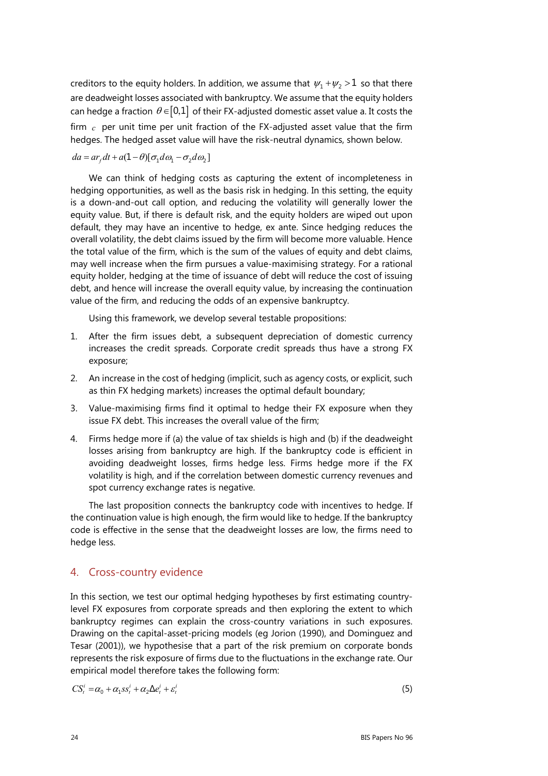creditors to the equity holders. In addition, we assume that  $\psi_1 + \psi_2 > 1$  so that there are deadweight losses associated with bankruptcy. We assume that the equity holders can hedge a fraction  $\theta \in [0,1]$  of their FX-adjusted domestic asset value a. It costs the firm *c* per unit time per unit fraction of the FX-adjusted asset value that the firm hedges. The hedged asset value will have the risk-neutral dynamics, shown below.

#### $da = ar_t dt + a(1-\theta)[\sigma_1 d\omega_1 - \sigma_2 d\omega_2]$

We can think of hedging costs as capturing the extent of incompleteness in hedging opportunities, as well as the basis risk in hedging. In this setting, the equity is a down-and-out call option, and reducing the volatility will generally lower the equity value. But, if there is default risk, and the equity holders are wiped out upon default, they may have an incentive to hedge, ex ante. Since hedging reduces the overall volatility, the debt claims issued by the firm will become more valuable. Hence the total value of the firm, which is the sum of the values of equity and debt claims, may well increase when the firm pursues a value-maximising strategy. For a rational equity holder, hedging at the time of issuance of debt will reduce the cost of issuing debt, and hence will increase the overall equity value, by increasing the continuation value of the firm, and reducing the odds of an expensive bankruptcy.

Using this framework, we develop several testable propositions:

- 1. After the firm issues debt, a subsequent depreciation of domestic currency increases the credit spreads. Corporate credit spreads thus have a strong FX exposure;
- 2. An increase in the cost of hedging (implicit, such as agency costs, or explicit, such as thin FX hedging markets) increases the optimal default boundary;
- 3. Value-maximising firms find it optimal to hedge their FX exposure when they issue FX debt. This increases the overall value of the firm;
- 4. Firms hedge more if (a) the value of tax shields is high and (b) if the deadweight losses arising from bankruptcy are high. If the bankruptcy code is efficient in avoiding deadweight losses, firms hedge less. Firms hedge more if the FX volatility is high, and if the correlation between domestic currency revenues and spot currency exchange rates is negative.

The last proposition connects the bankruptcy code with incentives to hedge. If the continuation value is high enough, the firm would like to hedge. If the bankruptcy code is effective in the sense that the deadweight losses are low, the firms need to hedge less.

## 4. Cross-country evidence

In this section, we test our optimal hedging hypotheses by first estimating countrylevel FX exposures from corporate spreads and then exploring the extent to which bankruptcy regimes can explain the cross-country variations in such exposures. Drawing on the capital-asset-pricing models (eg Jorion (1990), and Dominguez and Tesar (2001)), we hypothesise that a part of the risk premium on corporate bonds represents the risk exposure of firms due to the fluctuations in the exchange rate. Our empirical model therefore takes the following form:

$$
CS_t^i = \alpha_0 + \alpha_1 s s_t^i + \alpha_2 \Delta e_t^i + \varepsilon_t^i
$$
\n<sup>(5)</sup>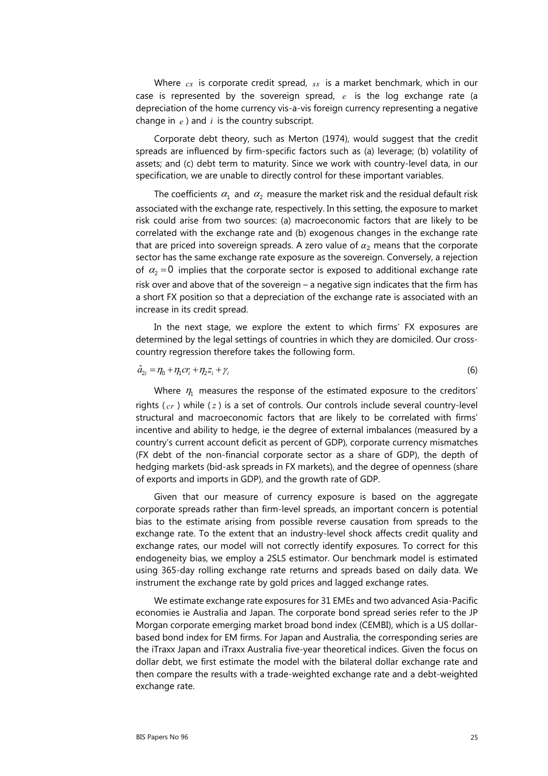Where *cs* is corporate credit spread, *ss* is a market benchmark, which in our case is represented by the sovereign spread, *e* is the log exchange rate (a depreciation of the home currency vis-a-vis foreign currency representing a negative change in *e* ) and *i* is the country subscript.

Corporate debt theory, such as Merton (1974), would suggest that the credit spreads are influenced by firm-specific factors such as (a) leverage; (b) volatility of assets; and (c) debt term to maturity. Since we work with country-level data, in our specification, we are unable to directly control for these important variables.

The coefficients  $\alpha_1$  and  $\alpha_2$  measure the market risk and the residual default risk associated with the exchange rate, respectively. In this setting, the exposure to market risk could arise from two sources: (a) macroeconomic factors that are likely to be correlated with the exchange rate and (b) exogenous changes in the exchange rate that are priced into sovereign spreads. A zero value of  $\alpha_2$  means that the corporate sector has the same exchange rate exposure as the sovereign. Conversely, a rejection of  $\alpha_2 = 0$  implies that the corporate sector is exposed to additional exchange rate risk over and above that of the sovereign – a negative sign indicates that the firm has a short FX position so that a depreciation of the exchange rate is associated with an increase in its credit spread.

In the next stage, we explore the extent to which firms' FX exposures are determined by the legal settings of countries in which they are domiciled. Our crosscountry regression therefore takes the following form.

$$
\hat{a}_{2i} = \eta_0 + \eta_1 c r_i + \eta_2 z_i + \gamma_i \tag{6}
$$

Where  $\eta_1$  measures the response of the estimated exposure to the creditors' rights ( *cr* ) while ( *z* ) is a set of controls. Our controls include several country-level structural and macroeconomic factors that are likely to be correlated with firms' incentive and ability to hedge, ie the degree of external imbalances (measured by a country's current account deficit as percent of GDP), corporate currency mismatches (FX debt of the non-financial corporate sector as a share of GDP), the depth of hedging markets (bid-ask spreads in FX markets), and the degree of openness (share of exports and imports in GDP), and the growth rate of GDP.

Given that our measure of currency exposure is based on the aggregate corporate spreads rather than firm-level spreads, an important concern is potential bias to the estimate arising from possible reverse causation from spreads to the exchange rate. To the extent that an industry-level shock affects credit quality and exchange rates, our model will not correctly identify exposures. To correct for this endogeneity bias, we employ a 2SLS estimator. Our benchmark model is estimated using 365-day rolling exchange rate returns and spreads based on daily data. We instrument the exchange rate by gold prices and lagged exchange rates.

We estimate exchange rate exposures for 31 EMEs and two advanced Asia-Pacific economies ie Australia and Japan. The corporate bond spread series refer to the JP Morgan corporate emerging market broad bond index (CEMBI), which is a US dollarbased bond index for EM firms. For Japan and Australia, the corresponding series are the iTraxx Japan and iTraxx Australia five-year theoretical indices. Given the focus on dollar debt, we first estimate the model with the bilateral dollar exchange rate and then compare the results with a trade-weighted exchange rate and a debt-weighted exchange rate.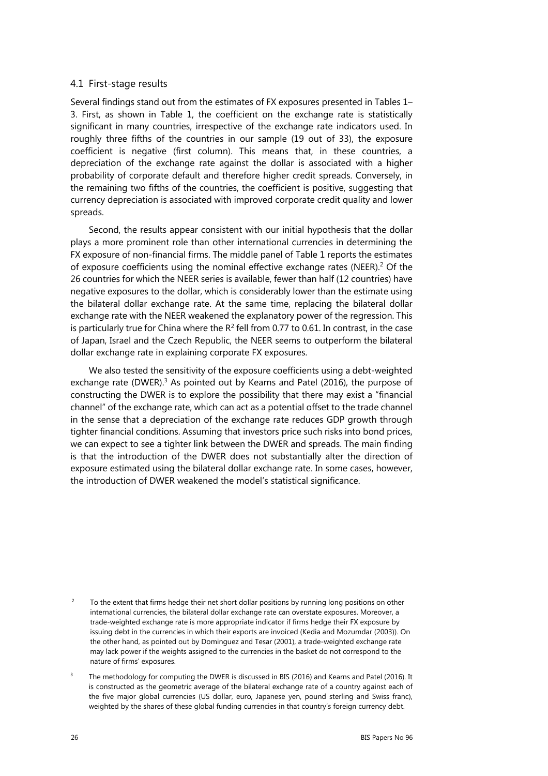#### 4.1 First-stage results

Several findings stand out from the estimates of FX exposures presented in Tables 1– 3. First, as shown in Table 1, the coefficient on the exchange rate is statistically significant in many countries, irrespective of the exchange rate indicators used. In roughly three fifths of the countries in our sample (19 out of 33), the exposure coefficient is negative (first column). This means that, in these countries, a depreciation of the exchange rate against the dollar is associated with a higher probability of corporate default and therefore higher credit spreads. Conversely, in the remaining two fifths of the countries, the coefficient is positive, suggesting that currency depreciation is associated with improved corporate credit quality and lower spreads.

Second, the results appear consistent with our initial hypothesis that the dollar plays a more prominent role than other international currencies in determining the FX exposure of non-financial firms. The middle panel of Table 1 reports the estimates of exposure coefficients using the nominal effective exchange rates (NEER).<sup>[2](#page-7-1)</sup> Of the 26 countries for which the NEER series is available, fewer than half (12 countries) have negative exposures to the dollar, which is considerably lower than the estimate using the bilateral dollar exchange rate. At the same time, replacing the bilateral dollar exchange rate with the NEER weakened the explanatory power of the regression. This is particularly true for China where the  $R^2$  fell from 0.77 to 0.61. In contrast, in the case of Japan, Israel and the Czech Republic, the NEER seems to outperform the bilateral dollar exchange rate in explaining corporate FX exposures.

We also tested the sensitivity of the exposure coefficients using a debt-weighted exchange rate  $(DWER)^3$  As pointed out by Kearns and Patel (2016), the purpose of constructing the DWER is to explore the possibility that there may exist a "financial channel" of the exchange rate, which can act as a potential offset to the trade channel in the sense that a depreciation of the exchange rate reduces GDP growth through tighter financial conditions. Assuming that investors price such risks into bond prices, we can expect to see a tighter link between the DWER and spreads. The main finding is that the introduction of the DWER does not substantially alter the direction of exposure estimated using the bilateral dollar exchange rate. In some cases, however, the introduction of DWER weakened the model's statistical significance.

<span id="page-7-1"></span><sup>2</sup> To the extent that firms hedge their net short dollar positions by running long positions on other international currencies, the bilateral dollar exchange rate can overstate exposures. Moreover, a trade-weighted exchange rate is more appropriate indicator if firms hedge their FX exposure by issuing debt in the currencies in which their exports are invoiced (Kedia and Mozumdar (2003)). On the other hand, as pointed out by Dominguez and Tesar (2001), a trade-weighted exchange rate may lack power if the weights assigned to the currencies in the basket do not correspond to the nature of firms' exposures.

<span id="page-7-0"></span><sup>3</sup> The methodology for computing the DWER is discussed in BIS (2016) and Kearns and Patel (2016). It is constructed as the geometric average of the bilateral exchange rate of a country against each of the five major global currencies (US dollar, euro, Japanese yen, pound sterling and Swiss franc), weighted by the shares of these global funding currencies in that country's foreign currency debt.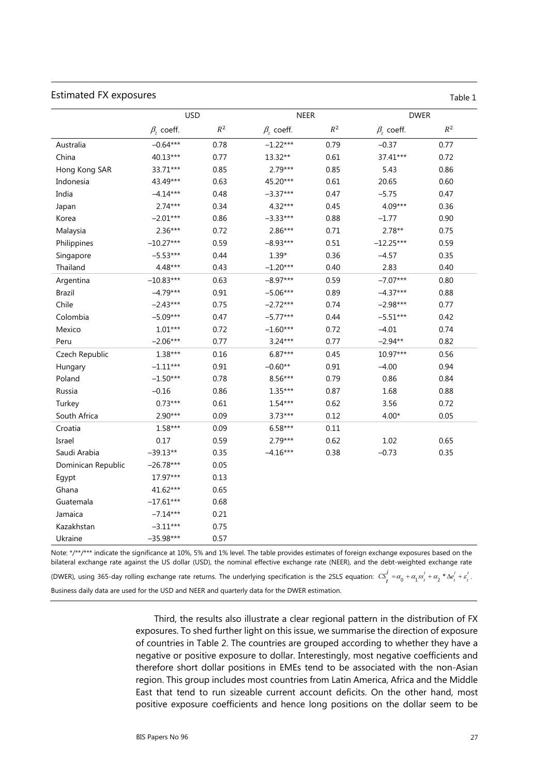#### Estimated FX exposures Table 1

|                    | <b>USD</b>         |       |                  | <b>NEER</b>    | <b>DWER</b>      |                |  |
|--------------------|--------------------|-------|------------------|----------------|------------------|----------------|--|
|                    | $\beta_{2}$ coeff. | $R^2$ | $\beta_2$ coeff. | $\mathbb{R}^2$ | $\beta_2$ coeff. | $\mathbb{R}^2$ |  |
| Australia          | $-0.64***$         | 0.78  | $-1.22***$       | 0.79           | $-0.37$          | 0.77           |  |
| China              | 40.13***           | 0.77  | 13.32**          | 0.61           | 37.41***         | 0.72           |  |
| Hong Kong SAR      | 33.71***           | 0.85  | $2.79***$        | 0.85           | 5.43             | 0.86           |  |
| Indonesia          | 43.49***           | 0.63  | 45.20***         | 0.61           | 20.65            | 0.60           |  |
| India              | $-4.14***$         | 0.48  | $-3.37***$       | 0.47           | $-5.75$          | 0.47           |  |
| Japan              | $2.74***$          | 0.34  | 4.32***          | 0.45           | 4.09***          | 0.36           |  |
| Korea              | $-2.01***$         | 0.86  | $-3.33***$       | 0.88           | $-1.77$          | 0.90           |  |
| Malaysia           | $2.36***$          | 0.72  | 2.86***          | 0.71           | $2.78**$         | 0.75           |  |
| Philippines        | $-10.27***$        | 0.59  | $-8.93***$       | 0.51           | $-12.25***$      | 0.59           |  |
| Singapore          | $-5.53***$         | 0.44  | $1.39*$          | 0.36           | $-4.57$          | 0.35           |  |
| Thailand           | 4.48***            | 0.43  | $-1.20***$       | 0.40           | 2.83             | 0.40           |  |
| Argentina          | $-10.83***$        | 0.63  | $-8.97***$       | 0.59           | $-7.07***$       | 0.80           |  |
| <b>Brazil</b>      | $-4.79***$         | 0.91  | $-5.06***$       | 0.89           | $-4.37***$       | 0.88           |  |
| Chile              | $-2.43***$         | 0.75  | $-2.72***$       | 0.74           | $-2.98***$       | 0.77           |  |
| Colombia           | $-5.09***$         | 0.47  | $-5.77***$       | 0.44           | $-5.51***$       | 0.42           |  |
| Mexico             | $1.01***$          | 0.72  | $-1.60***$       | 0.72           | $-4.01$          | 0.74           |  |
| Peru               | $-2.06***$         | 0.77  | $3.24***$        | 0.77           | $-2.94**$        | 0.82           |  |
| Czech Republic     | $1.38***$          | 0.16  | $6.87***$        | 0.45           | 10.97***         | 0.56           |  |
| Hungary            | $-1.11***$         | 0.91  | $-0.60**$        | 0.91           | $-4.00$          | 0.94           |  |
| Poland             | $-1.50***$         | 0.78  | 8.56***          | 0.79           | 0.86             | 0.84           |  |
| Russia             | $-0.16$            | 0.86  | $1.35***$        | 0.87           | 1.68             | 0.88           |  |
| Turkey             | $0.73***$          | 0.61  | $1.54***$        | 0.62           | 3.56             | 0.72           |  |
| South Africa       | $2.90***$          | 0.09  | $3.73***$        | 0.12           | $4.00*$          | 0.05           |  |
| Croatia            | 1.58***            | 0.09  | $6.58***$        | 0.11           |                  |                |  |
| Israel             | 0.17               | 0.59  | 2.79***          | 0.62           | 1.02             | 0.65           |  |
| Saudi Arabia       | $-39.13**$         | 0.35  | $-4.16***$       | 0.38           | $-0.73$          | 0.35           |  |
| Dominican Republic | $-26.78***$        | 0.05  |                  |                |                  |                |  |
| Egypt              | 17.97***           | 0.13  |                  |                |                  |                |  |
| Ghana              | 41.62***           | 0.65  |                  |                |                  |                |  |
| Guatemala          | $-17.61***$        | 0.68  |                  |                |                  |                |  |
| Jamaica            | $-7.14***$         | 0.21  |                  |                |                  |                |  |
| Kazakhstan         | $-3.11***$         | 0.75  |                  |                |                  |                |  |
| Ukraine            | $-35.98***$        | 0.57  |                  |                |                  |                |  |

Note: \*/\*\*/\*\*\* indicate the significance at 10%, 5% and 1% level. The table provides estimates of foreign exchange exposures based on the bilateral exchange rate against the US dollar (USD), the nominal effective exchange rate (NEER), and the debt-weighted exchange rate (DWER), using 365-day rolling exchange rate returns. The underlying specification is the 2SLS equation:  $CS_t^i = \alpha_0 + \alpha_1 s_s^i + \alpha_2 * \Delta e_t^i + \varepsilon_t^i$ . Business daily data are used for the USD and NEER and quarterly data for the DWER estimation.

> Third, the results also illustrate a clear regional pattern in the distribution of FX exposures. To shed further light on this issue, we summarise the direction of exposure of countries in Table 2. The countries are grouped according to whether they have a negative or positive exposure to dollar. Interestingly, most negative coefficients and therefore short dollar positions in EMEs tend to be associated with the non-Asian region. This group includes most countries from Latin America, Africa and the Middle East that tend to run sizeable current account deficits. On the other hand, most positive exposure coefficients and hence long positions on the dollar seem to be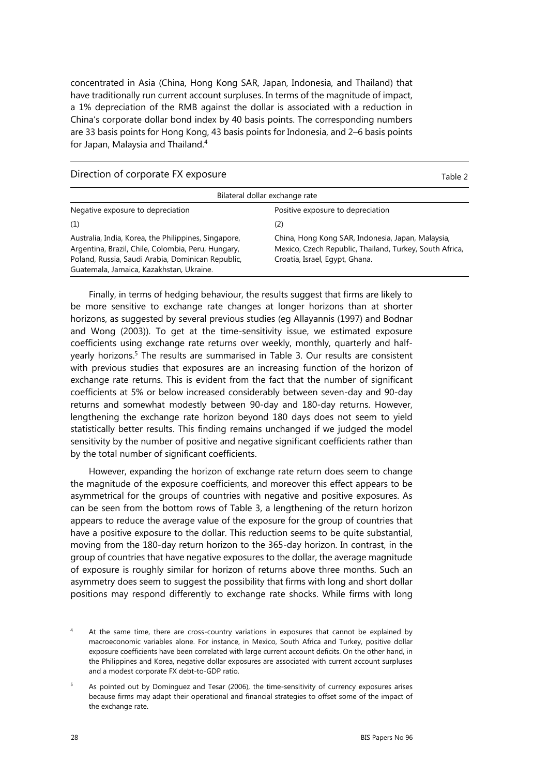concentrated in Asia (China, Hong Kong SAR, Japan, Indonesia, and Thailand) that have traditionally run current account surpluses. In terms of the magnitude of impact, a 1% depreciation of the RMB against the dollar is associated with a reduction in China's corporate dollar bond index by 40 basis points. The corresponding numbers are 33 basis points for Hong Kong, 43 basis points for Indonesia, and 2–6 basis points for Japan, Malaysia and Thailand.[4](#page-9-1)

#### Direction of corporate FX exposure Table 2

| Bilateral dollar exchange rate                                                                                                                                                                              |                                                                                                                                                |  |  |  |  |  |
|-------------------------------------------------------------------------------------------------------------------------------------------------------------------------------------------------------------|------------------------------------------------------------------------------------------------------------------------------------------------|--|--|--|--|--|
| Negative exposure to depreciation                                                                                                                                                                           | Positive exposure to depreciation                                                                                                              |  |  |  |  |  |
| (1)                                                                                                                                                                                                         | (2)                                                                                                                                            |  |  |  |  |  |
| Australia, India, Korea, the Philippines, Singapore,<br>Argentina, Brazil, Chile, Colombia, Peru, Hungary,<br>Poland, Russia, Saudi Arabia, Dominican Republic,<br>Guatemala, Jamaica, Kazakhstan, Ukraine. | China, Hong Kong SAR, Indonesia, Japan, Malaysia,<br>Mexico, Czech Republic, Thailand, Turkey, South Africa,<br>Croatia, Israel, Egypt, Ghana. |  |  |  |  |  |

Finally, in terms of hedging behaviour, the results suggest that firms are likely to be more sensitive to exchange rate changes at longer horizons than at shorter horizons, as suggested by several previous studies (eg Allayannis (1997) and Bodnar and Wong (2003)). To get at the time-sensitivity issue, we estimated exposure coefficients using exchange rate returns over weekly, monthly, quarterly and half-yearly horizons.<sup>[5](#page-9-0)</sup> The results are summarised in Table 3. Our results are consistent with previous studies that exposures are an increasing function of the horizon of exchange rate returns. This is evident from the fact that the number of significant coefficients at 5% or below increased considerably between seven-day and 90-day returns and somewhat modestly between 90-day and 180-day returns. However, lengthening the exchange rate horizon beyond 180 days does not seem to yield statistically better results. This finding remains unchanged if we judged the model sensitivity by the number of positive and negative significant coefficients rather than by the total number of significant coefficients.

However, expanding the horizon of exchange rate return does seem to change the magnitude of the exposure coefficients, and moreover this effect appears to be asymmetrical for the groups of countries with negative and positive exposures. As can be seen from the bottom rows of Table 3, a lengthening of the return horizon appears to reduce the average value of the exposure for the group of countries that have a positive exposure to the dollar. This reduction seems to be quite substantial, moving from the 180-day return horizon to the 365-day horizon. In contrast, in the group of countries that have negative exposures to the dollar, the average magnitude of exposure is roughly similar for horizon of returns above three months. Such an asymmetry does seem to suggest the possibility that firms with long and short dollar positions may respond differently to exchange rate shocks. While firms with long

<span id="page-9-1"></span><sup>4</sup> At the same time, there are cross-country variations in exposures that cannot be explained by macroeconomic variables alone. For instance, in Mexico, South Africa and Turkey, positive dollar exposure coefficients have been correlated with large current account deficits. On the other hand, in the Philippines and Korea, negative dollar exposures are associated with current account surpluses and a modest corporate FX debt-to-GDP ratio.

<span id="page-9-0"></span> $\overline{\phantom{a}}$  As pointed out by Dominguez and Tesar (2006), the time-sensitivity of currency exposures arises because firms may adapt their operational and financial strategies to offset some of the impact of the exchange rate.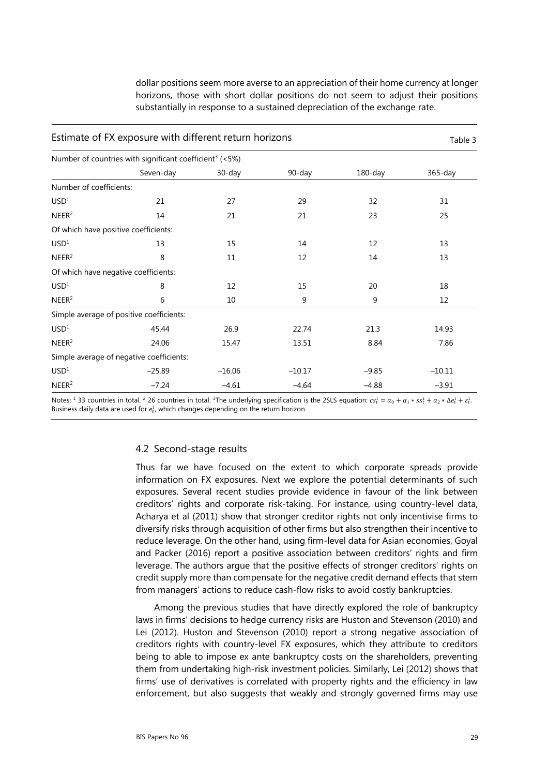dollar positions seem more averse to an appreciation of their home currency at longer horizons, those with short dollar positions do not seem to adjust their positions substantially in response to a sustained depreciation of the exchange rate.

| Estimate of FX exposure with different return horizons              | Table 3                                  |          |          |            |             |  |  |  |  |
|---------------------------------------------------------------------|------------------------------------------|----------|----------|------------|-------------|--|--|--|--|
| Number of countries with significant coefficient <sup>3</sup> (<5%) |                                          |          |          |            |             |  |  |  |  |
|                                                                     | Seven-day                                | 30-day   | 90-day   | $180$ -day | $365 - day$ |  |  |  |  |
| Number of coefficients:                                             |                                          |          |          |            |             |  |  |  |  |
| USD <sup>1</sup>                                                    | 21                                       | 27       | 29       | 32         | 31          |  |  |  |  |
| NEER <sup>2</sup>                                                   | 14                                       | 21       | 21       | 23         | 25          |  |  |  |  |
|                                                                     | Of which have positive coefficients:     |          |          |            |             |  |  |  |  |
| USD <sup>1</sup>                                                    | 13                                       | 15       | 14       | 12         | 13          |  |  |  |  |
| NEER <sup>2</sup>                                                   | 8                                        | 11       | 12       | 14         | 13          |  |  |  |  |
|                                                                     | Of which have negative coefficients:     |          |          |            |             |  |  |  |  |
| USD <sup>1</sup>                                                    | 8                                        | 12       | 15       | 20         | 18          |  |  |  |  |
| NEER <sup>2</sup>                                                   | 6                                        | 10       | 9        | 9          | 12          |  |  |  |  |
|                                                                     | Simple average of positive coefficients: |          |          |            |             |  |  |  |  |
| USD <sup>1</sup>                                                    | 45.44                                    | 26.9     | 22.74    | 21.3       | 14.93       |  |  |  |  |
| NEER <sup>2</sup>                                                   | 24.06                                    | 15.47    | 13.51    | 8.84       | 7.86        |  |  |  |  |
|                                                                     | Simple average of negative coefficients: |          |          |            |             |  |  |  |  |
| USD <sup>1</sup>                                                    | $-25.89$                                 | $-16.06$ | $-10.17$ | $-9.85$    | $-10.11$    |  |  |  |  |
| NEER <sup>2</sup>                                                   | $-7.24$                                  | $-4.61$  | $-4.64$  | $-4.88$    | $-3.91$     |  |  |  |  |

Notes: <sup>1</sup> 33 countries in total. <sup>2</sup> 26 countries in total. <sup>3</sup>The underlying specification is the 2SLS equation:  $cs_t^i = \alpha_0 + \alpha_1 * ss_t^i + \alpha_2 * \Delta e_t^i + \epsilon_t^i$ . Business daily data are used for  $e_t^i$ , which changes depending on the return horizon

#### 4.2 Second-stage results

Thus far we have focused on the extent to which corporate spreads provide information on FX exposures. Next we explore the potential determinants of such exposures. Several recent studies provide evidence in favour of the link between creditors' rights and corporate risk-taking. For instance, using country-level data, Acharya et al (2011) show that stronger creditor rights not only incentivise firms to diversify risks through acquisition of other firms but also strengthen their incentive to reduce leverage. On the other hand, using firm-level data for Asian economies, Goyal and Packer (2016) report a positive association between creditors' rights and firm leverage. The authors argue that the positive effects of stronger creditors' rights on credit supply more than compensate for the negative credit demand effects that stem from managers' actions to reduce cash-flow risks to avoid costly bankruptcies.

Among the previous studies that have directly explored the role of bankruptcy laws in firms' decisions to hedge currency risks are Huston and Stevenson (2010) and Lei (2012). Huston and Stevenson (2010) report a strong negative association of creditors rights with country-level FX exposures, which they attribute to creditors being to able to impose ex ante bankruptcy costs on the shareholders, preventing them from undertaking high-risk investment policies. Similarly, Lei (2012) shows that firms' use of derivatives is correlated with property rights and the efficiency in law enforcement, but also suggests that weakly and strongly governed firms may use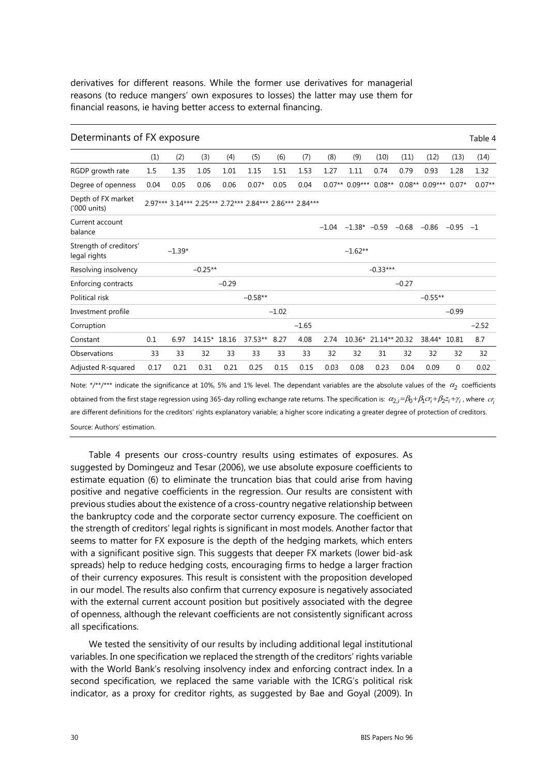derivatives for different reasons. While the former use derivatives for managerial reasons (to reduce mangers' own exposures to losses) the latter may use them for financial reasons, ie having better access to external financing.

| Determinants of FX exposure            |      |          |              |         |                                                         |         |         |      |                           |            |                |                 |              | Table 4  |
|----------------------------------------|------|----------|--------------|---------|---------------------------------------------------------|---------|---------|------|---------------------------|------------|----------------|-----------------|--------------|----------|
|                                        | (1)  | (2)      | (3)          | (4)     | (5)                                                     | (6)     | (7)     | (8)  | (9)                       | (10)       | (11)           | (12)            | (13)         | (14)     |
| RGDP growth rate                       | 1.5  | 1.35     | 1.05         | 1.01    | 1.15                                                    | 1.51    | 1.53    | 1.27 | 1.11                      | 0.74       | 0.79           | 0.93            | 1.28         | 1.32     |
| Degree of openness                     | 0.04 | 0.05     | 0.06         | 0.06    | $0.07*$                                                 | 0.05    | 0.04    |      | $0.07**$ 0.09***          | $0.08**$   |                | $0.08**0.09***$ | $0.07*$      | $0.07**$ |
| Depth of FX market<br>('000 units)     |      |          |              |         | 2.97*** 3.14*** 2.25*** 2.72*** 2.84*** 2.86*** 2.84*** |         |         |      |                           |            |                |                 |              |          |
| Current account<br>balance             |      |          |              |         |                                                         |         |         |      | $-1.04$ $-1.38$ * $-0.59$ |            | $-0.68 - 0.86$ |                 | $-0.95 -1$   |          |
| Strength of creditors'<br>legal rights |      | $-1.39*$ |              |         |                                                         |         |         |      | $-1.62**$                 |            |                |                 |              |          |
| Resolving insolvency                   |      |          | $-0.25**$    |         |                                                         |         |         |      |                           | $-0.33***$ |                |                 |              |          |
| Enforcing contracts                    |      |          |              | $-0.29$ |                                                         |         |         |      |                           |            | $-0.27$        |                 |              |          |
| Political risk                         |      |          |              |         | $-0.58**$                                               |         |         |      |                           |            |                | $-0.55**$       |              |          |
| Investment profile                     |      |          |              |         |                                                         | $-1.02$ |         |      |                           |            |                |                 | $-0.99$      |          |
| Corruption                             |      |          |              |         |                                                         |         | $-1.65$ |      |                           |            |                |                 |              | $-2.52$  |
| Constant                               | 0.1  | 6.97     | 14.15* 18.16 |         | $37.53**$                                               | 8.27    | 4.08    | 2.74 | 10.36* 21.14** 20.32      |            |                | 38.44*          | 10.81        | 8.7      |
| Observations                           | 33   | 33       | 32           | 33      | 33                                                      | 33      | 33      | 32   | 32                        | 31         | 32             | 32              | 32           | 32       |
| Adjusted R-squared                     | 0.17 | 0.21     | 0.31         | 0.21    | 0.25                                                    | 0.15    | 0.15    | 0.03 | 0.08                      | 0.23       | 0.04           | 0.09            | $\mathbf{0}$ | 0.02     |

Note: \*/\*\*/\*\*\* indicate the significance at 10%, 5% and 1% level. The dependant variables are the absolute values of the  $\alpha_2$  coefficients obtained from the first stage regression using 365-day rolling exchange rate returns. The specification is:  $\alpha_2 = \beta_0 + \beta_1 c r_i + \beta_2 z_i + \gamma_i$ , where  $c r_i$ are different definitions for the creditors' rights explanatory variable; a higher score indicating a greater degree of protection of creditors. Source: Authors' estimation.

Table 4 presents our cross-country results using estimates of exposures. As suggested by Domingeuz and Tesar (2006), we use absolute exposure coefficients to estimate equation (6) to eliminate the truncation bias that could arise from having positive and negative coefficients in the regression. Our results are consistent with previous studies about the existence of a cross-country negative relationship between the bankruptcy code and the corporate sector currency exposure. The coefficient on the strength of creditors' legal rights is significant in most models. Another factor that seems to matter for FX exposure is the depth of the hedging markets, which enters with a significant positive sign. This suggests that deeper FX markets (lower bid-ask spreads) help to reduce hedging costs, encouraging firms to hedge a larger fraction of their currency exposures. This result is consistent with the proposition developed in our model. The results also confirm that currency exposure is negatively associated with the external current account position but positively associated with the degree of openness, although the relevant coefficients are not consistently significant across all specifications.

We tested the sensitivity of our results by including additional legal institutional variables. In one specification we replaced the strength of the creditors' rights variable with the World Bank's resolving insolvency index and enforcing contract index. In a second specification, we replaced the same variable with the ICRG's political risk indicator, as a proxy for creditor rights, as suggested by Bae and Goyal (2009). In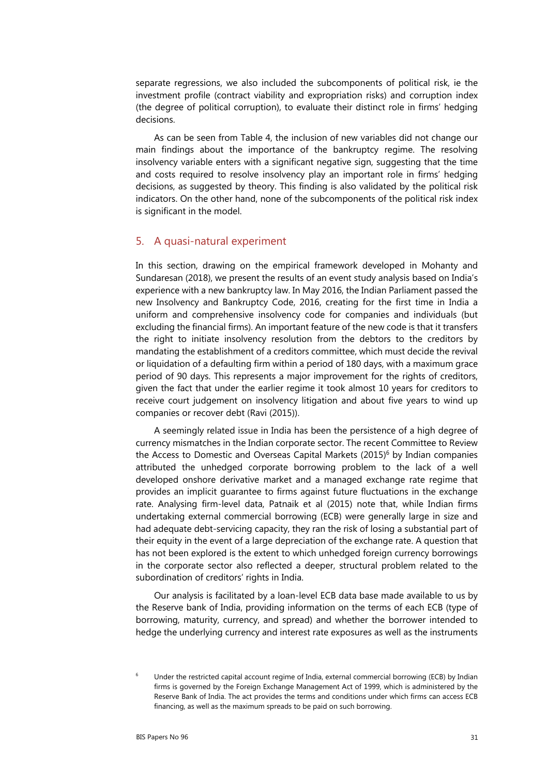separate regressions, we also included the subcomponents of political risk, ie the investment profile (contract viability and expropriation risks) and corruption index (the degree of political corruption), to evaluate their distinct role in firms' hedging decisions.

As can be seen from Table 4, the inclusion of new variables did not change our main findings about the importance of the bankruptcy regime. The resolving insolvency variable enters with a significant negative sign, suggesting that the time and costs required to resolve insolvency play an important role in firms' hedging decisions, as suggested by theory. This finding is also validated by the political risk indicators. On the other hand, none of the subcomponents of the political risk index is significant in the model.

## 5. A quasi-natural experiment

In this section, drawing on the empirical framework developed in Mohanty and Sundaresan (2018), we present the results of an event study analysis based on India's experience with a new bankruptcy law. In May 2016, the Indian Parliament passed the new Insolvency and Bankruptcy Code, 2016, creating for the first time in India a uniform and comprehensive insolvency code for companies and individuals (but excluding the financial firms). An important feature of the new code is that it transfers the right to initiate insolvency resolution from the debtors to the creditors by mandating the establishment of a creditors committee, which must decide the revival or liquidation of a defaulting firm within a period of 180 days, with a maximum grace period of 90 days. This represents a major improvement for the rights of creditors, given the fact that under the earlier regime it took almost 10 years for creditors to receive court judgement on insolvency litigation and about five years to wind up companies or recover debt (Ravi (2015)).

A seemingly related issue in India has been the persistence of a high degree of currency mismatches in the Indian corporate sector. The recent Committee to Review the Access to Domestic and Overseas Capital Markets (2015)<sup>6</sup> by Indian companies attributed the unhedged corporate borrowing problem to the lack of a well developed onshore derivative market and a managed exchange rate regime that provides an implicit guarantee to firms against future fluctuations in the exchange rate. Analysing firm-level data, Patnaik et al (2015) note that, while Indian firms undertaking external commercial borrowing (ECB) were generally large in size and had adequate debt-servicing capacity, they ran the risk of losing a substantial part of their equity in the event of a large depreciation of the exchange rate. A question that has not been explored is the extent to which unhedged foreign currency borrowings in the corporate sector also reflected a deeper, structural problem related to the subordination of creditors' rights in India.

Our analysis is facilitated by a loan-level ECB data base made available to us by the Reserve bank of India, providing information on the terms of each ECB (type of borrowing, maturity, currency, and spread) and whether the borrower intended to hedge the underlying currency and interest rate exposures as well as the instruments

<span id="page-12-0"></span><sup>6</sup> Under the restricted capital account regime of India, external commercial borrowing (ECB) by Indian firms is governed by the Foreign Exchange Management Act of 1999, which is administered by the Reserve Bank of India. The act provides the terms and conditions under which firms can access ECB financing, as well as the maximum spreads to be paid on such borrowing.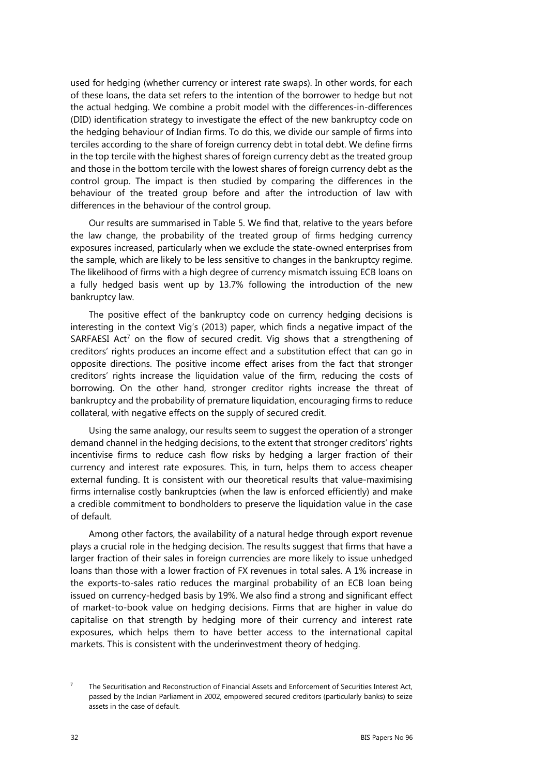used for hedging (whether currency or interest rate swaps). In other words, for each of these loans, the data set refers to the intention of the borrower to hedge but not the actual hedging. We combine a probit model with the differences-in-differences (DID) identification strategy to investigate the effect of the new bankruptcy code on the hedging behaviour of Indian firms. To do this, we divide our sample of firms into terciles according to the share of foreign currency debt in total debt. We define firms in the top tercile with the highest shares of foreign currency debt as the treated group and those in the bottom tercile with the lowest shares of foreign currency debt as the control group. The impact is then studied by comparing the differences in the behaviour of the treated group before and after the introduction of law with differences in the behaviour of the control group.

Our results are summarised in Table 5. We find that, relative to the years before the law change, the probability of the treated group of firms hedging currency exposures increased, particularly when we exclude the state-owned enterprises from the sample, which are likely to be less sensitive to changes in the bankruptcy regime. The likelihood of firms with a high degree of currency mismatch issuing ECB loans on a fully hedged basis went up by 13.7% following the introduction of the new bankruptcy law.

The positive effect of the bankruptcy code on currency hedging decisions is interesting in the context Vig's (2013) paper, which finds a negative impact of the SARFAESI Act<sup>[7](#page-13-0)</sup> on the flow of secured credit. Vig shows that a strengthening of creditors' rights produces an income effect and a substitution effect that can go in opposite directions. The positive income effect arises from the fact that stronger creditors' rights increase the liquidation value of the firm, reducing the costs of borrowing. On the other hand, stronger creditor rights increase the threat of bankruptcy and the probability of premature liquidation, encouraging firms to reduce collateral, with negative effects on the supply of secured credit.

Using the same analogy, our results seem to suggest the operation of a stronger demand channel in the hedging decisions, to the extent that stronger creditors' rights incentivise firms to reduce cash flow risks by hedging a larger fraction of their currency and interest rate exposures. This, in turn, helps them to access cheaper external funding. It is consistent with our theoretical results that value-maximising firms internalise costly bankruptcies (when the law is enforced efficiently) and make a credible commitment to bondholders to preserve the liquidation value in the case of default.

Among other factors, the availability of a natural hedge through export revenue plays a crucial role in the hedging decision. The results suggest that firms that have a larger fraction of their sales in foreign currencies are more likely to issue unhedged loans than those with a lower fraction of FX revenues in total sales. A 1% increase in the exports-to-sales ratio reduces the marginal probability of an ECB loan being issued on currency-hedged basis by 19%. We also find a strong and significant effect of market-to-book value on hedging decisions. Firms that are higher in value do capitalise on that strength by hedging more of their currency and interest rate exposures, which helps them to have better access to the international capital markets. This is consistent with the underinvestment theory of hedging.

<span id="page-13-0"></span> $\overline{7}$  The Securitisation and Reconstruction of Financial Assets and Enforcement of Securities Interest Act, passed by the Indian Parliament in 2002, empowered secured creditors (particularly banks) to seize assets in the case of default.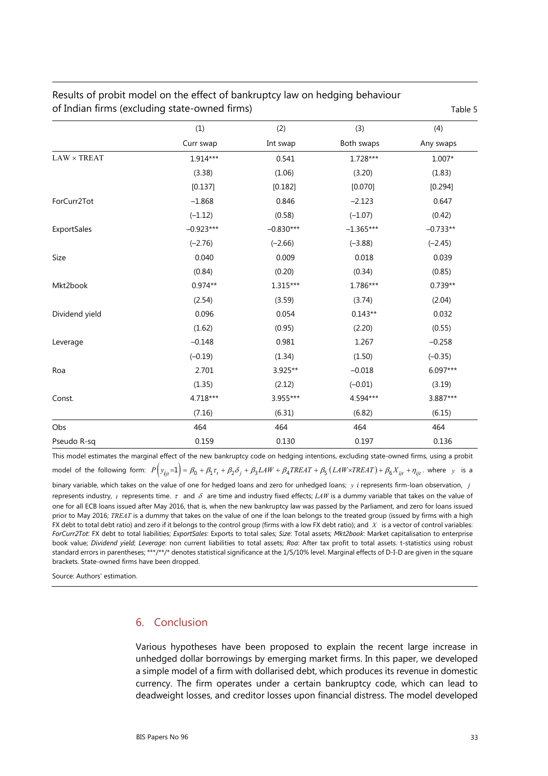|                    |             |             |             | . uv.c     |
|--------------------|-------------|-------------|-------------|------------|
|                    | (1)         | (2)         | (3)         | (4)        |
|                    | Curr swap   | Int swap    | Both swaps  | Any swaps  |
| $LAW \times TREAT$ | 1.914***    | 0.541       | $1.728***$  | $1.007*$   |
|                    | (3.38)      | (1.06)      | (3.20)      | (1.83)     |
|                    | [0.137]     | [0.182]     | [0.070]     | [0.294]    |
| ForCurr2Tot        | $-1.868$    | 0.846       | $-2.123$    | 0.647      |
|                    | $(-1.12)$   | (0.58)      | $(-1.07)$   | (0.42)     |
| ExportSales        | $-0.923***$ | $-0.830***$ | $-1.365***$ | $-0.733**$ |
|                    | $(-2.76)$   | $(-2.66)$   | $(-3.88)$   | $(-2.45)$  |
| Size               | 0.040       | 0.009       | 0.018       | 0.039      |
|                    | (0.84)      | (0.20)      | (0.34)      | (0.85)     |
| Mkt2book           | $0.974**$   | 1.315***    | 1.786***    | $0.739**$  |
|                    | (2.54)      | (3.59)      | (3.74)      | (2.04)     |
| Dividend yield     | 0.096       | 0.054       | $0.143**$   | 0.032      |
|                    | (1.62)      | (0.95)      | (2.20)      | (0.55)     |
| Leverage           | $-0.148$    | 0.981       | 1.267       | $-0.258$   |
|                    | $(-0.19)$   | (1.34)      | (1.50)      | $(-0.35)$  |
| Roa                | 2.701       | 3.925**     | $-0.018$    | 6.097***   |
|                    | (1.35)      | (2.12)      | $(-0.01)$   | (3.19)     |
| Const.             | 4.718***    | 3.955***    | 4.594***    | 3.887***   |
|                    | (7.16)      | (6.31)      | (6.82)      | (6.15)     |
| Obs                | 464         | 464         | 464         | 464        |
| Pseudo R-sq        | 0.159       | 0.130       | 0.197       | 0.136      |

# Results of probit model on the effect of bankruptcy law on hedging behaviour of Indian firms (excluding state-owned firms) Table 5

This model estimates the marginal effect of the new bankruptcy code on hedging intentions, excluding state-owned firms, using a probit model of the following form:  $P(y_{ijt} = 1) = \beta_0 + \beta_1 \tau_t + \beta_2 \delta_j + \beta_3 LAW + \beta_4 TREAT + \beta_5 (LAW \times TREAT) + \beta_6 X_{ijt} + \eta_{ijt}$ , where *y* is a binary variable, which takes on the value of one for hedged loans and zero for unhedged loans; *y i* represents firm-loan observation, *j* represents industry, *t* represents time.  $\tau$  and  $\delta$  are time and industry fixed effects; *LAW* is a dummy variable that takes on the value of one for all ECB loans issued after May 2016, that is, when the new bankruptcy law was passed by the Parliament, and zero for loans issued prior to May 2016; *TREAT* is a dummy that takes on the value of one if the loan belongs to the treated group (issued by firms with a high FX debt to total debt ratio) and zero if it belongs to the control group (firms with a low FX debt ratio); and *X* is a vector of control variables: *ForCurr2Tot*: FX debt to total liabilities; *ExportSales*: Exports to total sales; *Size*: Total assets; *Mkt2book*: Market capitalisation to enterprise book value; *Dividend yield*; *Leverage*: non current liabilities to total assets; *Roa*: After tax profit to total assets. t-statistics using robust standard errors in parentheses; \*\*\*/\*\*/\* denotes statistical significance at the 1/5/10% level. Marginal effects of D-I-D are given in the square brackets. State-owned firms have been dropped.

Source: Authors' estimation.

## 6. Conclusion

Various hypotheses have been proposed to explain the recent large increase in unhedged dollar borrowings by emerging market firms. In this paper, we developed a simple model of a firm with dollarised debt, which produces its revenue in domestic currency. The firm operates under a certain bankruptcy code, which can lead to deadweight losses, and creditor losses upon financial distress. The model developed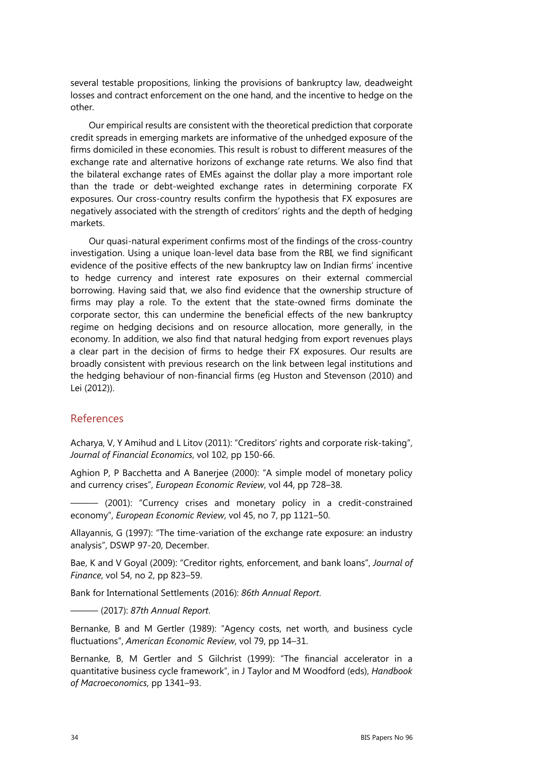several testable propositions, linking the provisions of bankruptcy law, deadweight losses and contract enforcement on the one hand, and the incentive to hedge on the other.

Our empirical results are consistent with the theoretical prediction that corporate credit spreads in emerging markets are informative of the unhedged exposure of the firms domiciled in these economies. This result is robust to different measures of the exchange rate and alternative horizons of exchange rate returns. We also find that the bilateral exchange rates of EMEs against the dollar play a more important role than the trade or debt-weighted exchange rates in determining corporate FX exposures. Our cross-country results confirm the hypothesis that FX exposures are negatively associated with the strength of creditors' rights and the depth of hedging markets.

Our quasi-natural experiment confirms most of the findings of the cross-country investigation. Using a unique loan-level data base from the RBI, we find significant evidence of the positive effects of the new bankruptcy law on Indian firms' incentive to hedge currency and interest rate exposures on their external commercial borrowing. Having said that, we also find evidence that the ownership structure of firms may play a role. To the extent that the state-owned firms dominate the corporate sector, this can undermine the beneficial effects of the new bankruptcy regime on hedging decisions and on resource allocation, more generally, in the economy. In addition, we also find that natural hedging from export revenues plays a clear part in the decision of firms to hedge their FX exposures. Our results are broadly consistent with previous research on the link between legal institutions and the hedging behaviour of non-financial firms (eg Huston and Stevenson (2010) and Lei (2012)).

## References

Acharya, V, Y Amihud and L Litov (2011): "Creditors' rights and corporate risk-taking", *Journal of Financial Economics*, vol 102, pp 150-66.

Aghion P, P Bacchetta and A Banerjee (2000): "A simple model of monetary policy and currency crises", *European Economic Review*, vol 44, pp 728–38.

——— (2001): "Currency crises and monetary policy in a credit-constrained economy", *European Economic Review*, vol 45, no 7, pp 1121–50.

Allayannis, G (1997): "The time-variation of the exchange rate exposure: an industry analysis", DSWP 97-20, December.

Bae, K and V Goyal (2009): "Creditor rights, enforcement, and bank loans", *Journal of Finance*, vol 54, no 2, pp 823–59.

Bank for International Settlements (2016): *86th Annual Report*.

——— (2017): *87th Annual Report*.

Bernanke, B and M Gertler (1989): "Agency costs, net worth, and business cycle fluctuations", *American Economic Review*, vol 79, pp 14–31.

Bernanke, B, M Gertler and S Gilchrist (1999): "The financial accelerator in a quantitative business cycle framework", in J Taylor and M Woodford (eds), *Handbook of Macroeconomics*, pp 1341–93.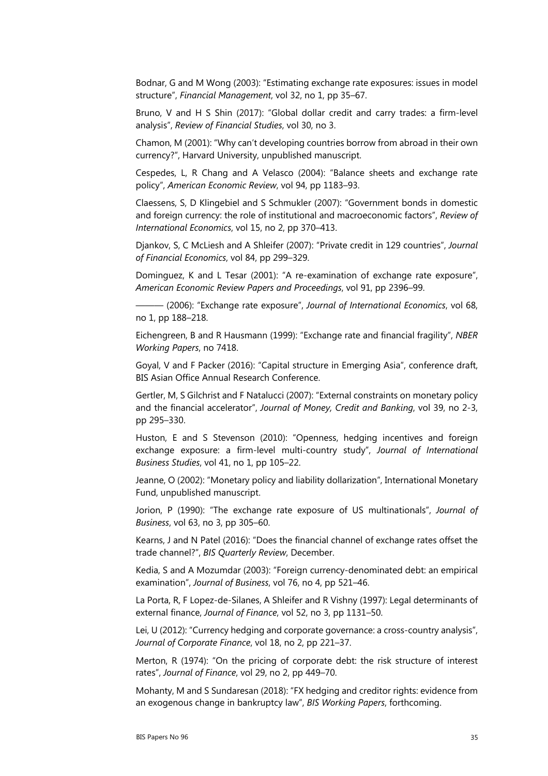Bodnar, G and M Wong (2003): "Estimating exchange rate exposures: issues in model structure", *Financial Management*, vol 32, no 1, pp 35–67.

Bruno, V and H S Shin (2017): "Global dollar credit and carry trades: a firm-level analysis", *Review of Financial Studies*, vol 30, no 3.

Chamon, M (2001): "Why can't developing countries borrow from abroad in their own currency?", Harvard University, unpublished manuscript.

Cespedes, L, R Chang and A Velasco (2004): "Balance sheets and exchange rate policy", *American Economic Review*, vol 94, pp 1183–93.

Claessens, S, D Klingebiel and S Schmukler (2007): "Government bonds in domestic and foreign currency: the role of institutional and macroeconomic factors", *Review of International Economics*, vol 15, no 2, pp 370–413.

Djankov, S, C McLiesh and A Shleifer (2007): "Private credit in 129 countries", *Journal of Financial Economics*, vol 84, pp 299–329.

Dominguez, K and L Tesar (2001): "A re-examination of exchange rate exposure", *American Economic Review Papers and Proceedings*, vol 91, pp 2396–99.

——— (2006): "Exchange rate exposure", *Journal of International Economics*, vol 68, no 1, pp 188–218.

Eichengreen, B and R Hausmann (1999): "Exchange rate and financial fragility", *NBER Working Papers*, no 7418.

Goyal, V and F Packer (2016): "Capital structure in Emerging Asia", conference draft, BIS Asian Office Annual Research Conference.

Gertler, M, S Gilchrist and F Natalucci (2007): "External constraints on monetary policy and the financial accelerator", *Journal of Money, Credit and Banking*, vol 39, no 2-3, pp 295–330.

Huston, E and S Stevenson (2010): "Openness, hedging incentives and foreign exchange exposure: a firm-level multi-country study", *Journal of International Business Studies*, vol 41, no 1, pp 105–22.

Jeanne, O (2002): "Monetary policy and liability dollarization", International Monetary Fund, unpublished manuscript.

Jorion, P (1990): "The exchange rate exposure of US multinationals", *Journal of Business*, vol 63, no 3, pp 305–60.

Kearns, J and N Patel (2016): "Does the financial channel of exchange rates offset the trade channel?", *BIS Quarterly Review*, December.

Kedia, S and A Mozumdar (2003): "Foreign currency-denominated debt: an empirical examination", *Journal of Business*, vol 76, no 4, pp 521–46.

La Porta, R, F Lopez-de-Silanes, A Shleifer and R Vishny (1997): Legal determinants of external finance, *Journal of Finance*, vol 52, no 3, pp 1131–50.

Lei, U (2012): "Currency hedging and corporate governance: a cross-country analysis", *Journal of Corporate Finance*, vol 18, no 2, pp 221–37.

Merton, R (1974): "On the pricing of corporate debt: the risk structure of interest rates", *Journal of Finance*, vol 29, no 2, pp 449–70.

Mohanty, M and S Sundaresan (2018): "FX hedging and creditor rights: evidence from an exogenous change in bankruptcy law", *BIS Working Papers*, forthcoming.